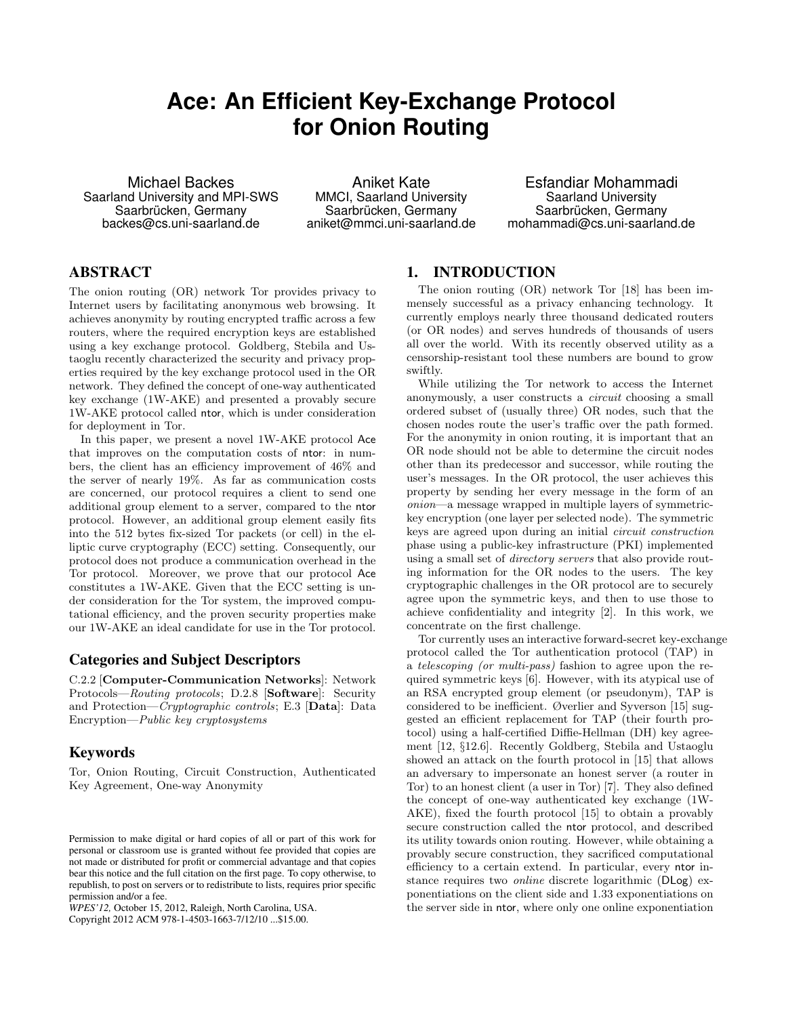# **Ace: An Efficient Key-Exchange Protocol for Onion Routing**

Michael Backes Saarland University and MPI-SWS Saarbrücken, Germany backes@cs.uni-saarland.de

Aniket Kate MMCI, Saarland University Saarbrücken, Germany aniket@mmci.uni-saarland.de

Esfandiar Mohammadi Saarland University Saarbrücken, Germany mohammadi@cs.uni-saarland.de

# ABSTRACT

The onion routing (OR) network Tor provides privacy to Internet users by facilitating anonymous web browsing. It achieves anonymity by routing encrypted traffic across a few routers, where the required encryption keys are established using a key exchange protocol. Goldberg, Stebila and Ustaoglu recently characterized the security and privacy properties required by the key exchange protocol used in the OR network. They defined the concept of one-way authenticated key exchange (1W-AKE) and presented a provably secure 1W-AKE protocol called ntor, which is under consideration for deployment in Tor.

In this paper, we present a novel 1W-AKE protocol Ace that improves on the computation costs of ntor: in numbers, the client has an efficiency improvement of 46% and the server of nearly 19%. As far as communication costs are concerned, our protocol requires a client to send one additional group element to a server, compared to the ntor protocol. However, an additional group element easily fits into the 512 bytes fix-sized Tor packets (or cell) in the elliptic curve cryptography (ECC) setting. Consequently, our protocol does not produce a communication overhead in the Tor protocol. Moreover, we prove that our protocol Ace constitutes a 1W-AKE. Given that the ECC setting is under consideration for the Tor system, the improved computational efficiency, and the proven security properties make our 1W-AKE an ideal candidate for use in the Tor protocol.

## Categories and Subject Descriptors

C.2.2 [Computer-Communication Networks]: Network Protocols—Routing protocols; D.2.8 [Software]: Security and Protection—Cryptographic controls; E.3 [Data]: Data Encryption—Public key cryptosystems

# Keywords

Tor, Onion Routing, Circuit Construction, Authenticated Key Agreement, One-way Anonymity

Copyright 2012 ACM 978-1-4503-1663-7/12/10 ...\$15.00.

# 1. INTRODUCTION

The onion routing (OR) network Tor [18] has been immensely successful as a privacy enhancing technology. It currently employs nearly three thousand dedicated routers (or OR nodes) and serves hundreds of thousands of users all over the world. With its recently observed utility as a censorship-resistant tool these numbers are bound to grow swiftly.

While utilizing the Tor network to access the Internet anonymously, a user constructs a circuit choosing a small ordered subset of (usually three) OR nodes, such that the chosen nodes route the user's traffic over the path formed. For the anonymity in onion routing, it is important that an OR node should not be able to determine the circuit nodes other than its predecessor and successor, while routing the user's messages. In the OR protocol, the user achieves this property by sending her every message in the form of an onion—a message wrapped in multiple layers of symmetrickey encryption (one layer per selected node). The symmetric keys are agreed upon during an initial circuit construction phase using a public-key infrastructure (PKI) implemented using a small set of directory servers that also provide routing information for the OR nodes to the users. The key cryptographic challenges in the OR protocol are to securely agree upon the symmetric keys, and then to use those to achieve confidentiality and integrity [2]. In this work, we concentrate on the first challenge.

Tor currently uses an interactive forward-secret key-exchange protocol called the Tor authentication protocol (TAP) in a telescoping (or multi-pass) fashion to agree upon the required symmetric keys [6]. However, with its atypical use of an RSA encrypted group element (or pseudonym), TAP is considered to be inefficient. Øverlier and Syverson [15] suggested an efficient replacement for TAP (their fourth protocol) using a half-certified Diffie-Hellman (DH) key agreement [12, §12.6]. Recently Goldberg, Stebila and Ustaoglu showed an attack on the fourth protocol in [15] that allows an adversary to impersonate an honest server (a router in Tor) to an honest client (a user in Tor) [7]. They also defined the concept of one-way authenticated key exchange (1W-AKE), fixed the fourth protocol [15] to obtain a provably secure construction called the ntor protocol, and described its utility towards onion routing. However, while obtaining a provably secure construction, they sacrificed computational efficiency to a certain extend. In particular, every ntor instance requires two online discrete logarithmic (DLog) exponentiations on the client side and 1.33 exponentiations on the server side in ntor, where only one online exponentiation

Permission to make digital or hard copies of all or part of this work for personal or classroom use is granted without fee provided that copies are not made or distributed for profit or commercial advantage and that copies bear this notice and the full citation on the first page. To copy otherwise, to republish, to post on servers or to redistribute to lists, requires prior specific permission and/or a fee.

*WPES'12,* October 15, 2012, Raleigh, North Carolina, USA.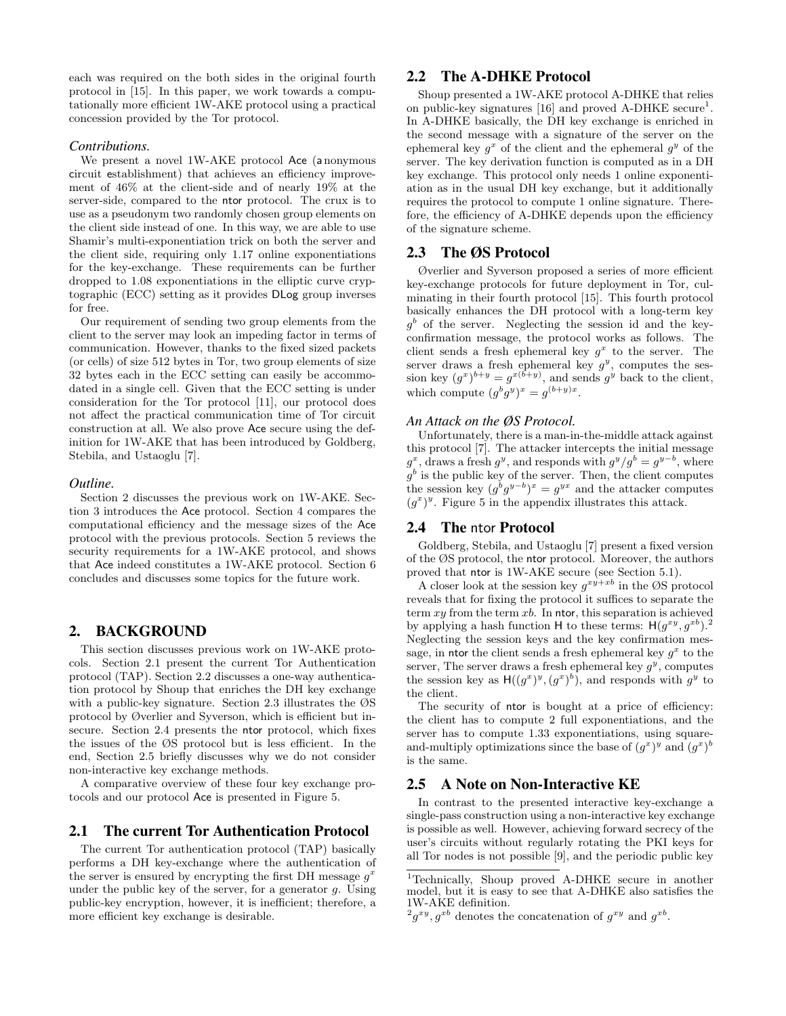each was required on the both sides in the original fourth protocol in [15]. In this paper, we work towards a computationally more efficient 1W-AKE protocol using a practical concession provided by the Tor protocol.

#### *Contributions.*

We present a novel 1W-AKE protocol Ace (a nonymous circuit establishment) that achieves an efficiency improvement of 46% at the client-side and of nearly 19% at the server-side, compared to the ntor protocol. The crux is to use as a pseudonym two randomly chosen group elements on the client side instead of one. In this way, we are able to use Shamir's multi-exponentiation trick on both the server and the client side, requiring only 1.17 online exponentiations for the key-exchange. These requirements can be further dropped to 1.08 exponentiations in the elliptic curve cryptographic (ECC) setting as it provides DLog group inverses for free.

Our requirement of sending two group elements from the client to the server may look an impeding factor in terms of communication. However, thanks to the fixed sized packets (or cells) of size 512 bytes in Tor, two group elements of size 32 bytes each in the ECC setting can easily be accommodated in a single cell. Given that the ECC setting is under consideration for the Tor protocol [11], our protocol does not affect the practical communication time of Tor circuit construction at all. We also prove Ace secure using the definition for 1W-AKE that has been introduced by Goldberg, Stebila, and Ustaoglu [7].

#### *Outline.*

Section 2 discusses the previous work on 1W-AKE. Section 3 introduces the Ace protocol. Section 4 compares the computational efficiency and the message sizes of the Ace protocol with the previous protocols. Section 5 reviews the security requirements for a 1W-AKE protocol, and shows that Ace indeed constitutes a 1W-AKE protocol. Section 6 concludes and discusses some topics for the future work.

## 2. BACKGROUND

This section discusses previous work on 1W-AKE protocols. Section 2.1 present the current Tor Authentication protocol (TAP). Section 2.2 discusses a one-way authentication protocol by Shoup that enriches the DH key exchange with a public-key signature. Section 2.3 illustrates the ØS protocol by Øverlier and Syverson, which is efficient but insecure. Section 2.4 presents the ntor protocol, which fixes the issues of the ØS protocol but is less efficient. In the end, Section 2.5 briefly discusses why we do not consider non-interactive key exchange methods.

A comparative overview of these four key exchange protocols and our protocol Ace is presented in Figure 5.

## 2.1 The current Tor Authentication Protocol

The current Tor authentication protocol (TAP) basically performs a DH key-exchange where the authentication of the server is ensured by encrypting the first DH message  $g^x$ under the public key of the server, for a generator  $g$ . Using public-key encryption, however, it is inefficient; therefore, a more efficient key exchange is desirable.

## 2.2 The A-DHKE Protocol

Shoup presented a 1W-AKE protocol A-DHKE that relies on public-key signatures  $[16]$  and proved A-DHKE secure<sup>1</sup>. In A-DHKE basically, the DH key exchange is enriched in the second message with a signature of the server on the ephemeral key  $g^x$  of the client and the ephemeral  $g^y$  of the server. The key derivation function is computed as in a DH key exchange. This protocol only needs 1 online exponentiation as in the usual DH key exchange, but it additionally requires the protocol to compute 1 online signature. Therefore, the efficiency of A-DHKE depends upon the efficiency of the signature scheme.

## 2.3 The ØS Protocol

Øverlier and Syverson proposed a series of more efficient key-exchange protocols for future deployment in Tor, culminating in their fourth protocol [15]. This fourth protocol basically enhances the DH protocol with a long-term key  $g<sup>b</sup>$  of the server. Neglecting the session id and the keyconfirmation message, the protocol works as follows. The client sends a fresh ephemeral key  $g^x$  to the server. The server draws a fresh ephemeral key  $g^y$ , computes the session key  $(g^x)^{b+y} = g^{x(b+y)}$ , and sends  $g^y$  back to the client, which compute  $(g^b g^y)^x = g^{(b+y)x}$ .

#### *An Attack on the ØS Protocol.*

Unfortunately, there is a man-in-the-middle attack against this protocol [7]. The attacker intercepts the initial message  $g^x$ , draws a fresh  $g^y$ , and responds with  $g^y/g^b = g^{y-b}$ , where  $g^b$  is the public key of the server. Then, the client computes the session key  $(g^b g^{y-b})^x = g^{yx}$  and the attacker computes  $(g<sup>x</sup>)<sup>y</sup>$ . Figure 5 in the appendix illustrates this attack.

## 2.4 The ntor Protocol

Goldberg, Stebila, and Ustaoglu [7] present a fixed version of the ØS protocol, the ntor protocol. Moreover, the authors proved that ntor is 1W-AKE secure (see Section 5.1).

A closer look at the session key  $g^{xy+xb}$  in the ØS protocol reveals that for fixing the protocol it suffices to separate the term  $xy$  from the term  $xb$ . In ntor, this separation is achieved by applying a hash function H to these terms:  $H(g^{xy}, g^{xb})$ .<sup>2</sup> Neglecting the session keys and the key confirmation message, in ntor the client sends a fresh ephemeral key  $g^x$  to the server, The server draws a fresh ephemeral key  $g^y$ , computes the session key as  $H((g^x)^y, (g^x)^b)$ , and responds with  $g^y$  to the client.

The security of ntor is bought at a price of efficiency: the client has to compute 2 full exponentiations, and the server has to compute 1.33 exponentiations, using squareand-multiply optimizations since the base of  $(g^x)^y$  and  $(g^x)^b$ is the same.

## 2.5 A Note on Non-Interactive KE

In contrast to the presented interactive key-exchange a single-pass construction using a non-interactive key exchange is possible as well. However, achieving forward secrecy of the user's circuits without regularly rotating the PKI keys for all Tor nodes is not possible [9], and the periodic public key

<sup>1</sup>Technically, Shoup proved A-DHKE secure in another model, but it is easy to see that A-DHKE also satisfies the 1W-AKE definition.

 $^{2}g^{xy}, g^{xb}$  denotes the concatenation of  $g^{xy}$  and  $g^{xb}$ .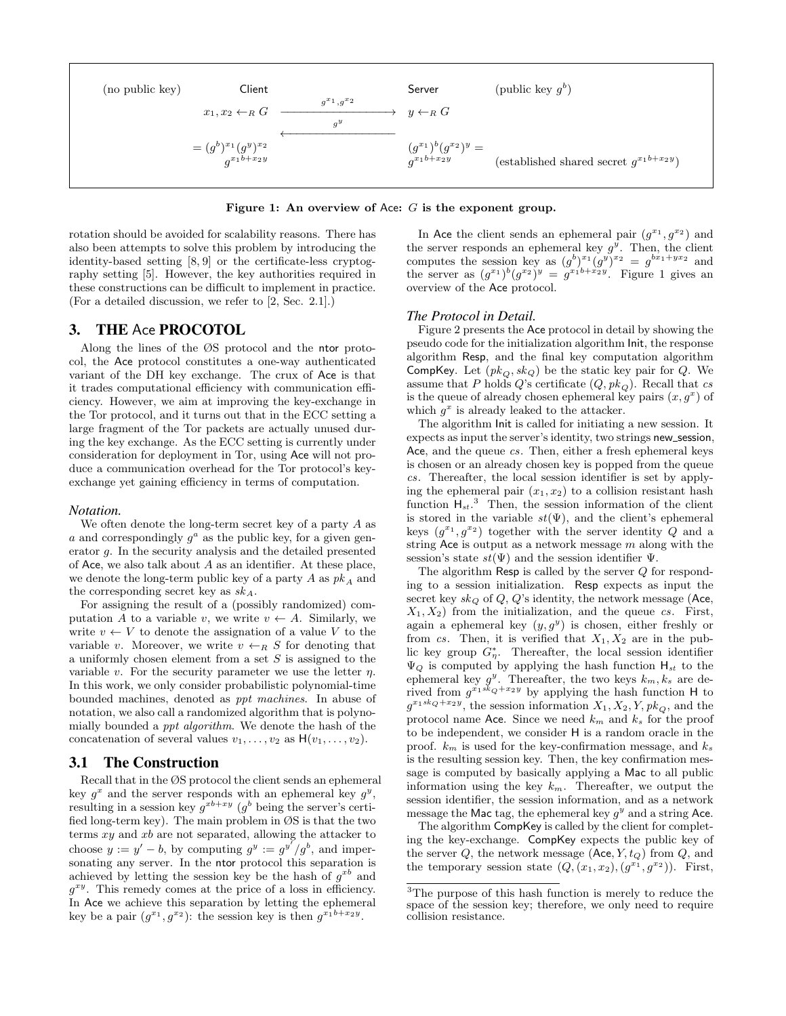

Figure 1: An overview of Ace:  $G$  is the exponent group.

rotation should be avoided for scalability reasons. There has also been attempts to solve this problem by introducing the identity-based setting [8, 9] or the certificate-less cryptography setting [5]. However, the key authorities required in these constructions can be difficult to implement in practice. (For a detailed discussion, we refer to [2, Sec. 2.1].)

## 3. THE Ace PROCOTOL

Along the lines of the ØS protocol and the ntor protocol, the Ace protocol constitutes a one-way authenticated variant of the DH key exchange. The crux of Ace is that it trades computational efficiency with communication efficiency. However, we aim at improving the key-exchange in the Tor protocol, and it turns out that in the ECC setting a large fragment of the Tor packets are actually unused during the key exchange. As the ECC setting is currently under consideration for deployment in Tor, using Ace will not produce a communication overhead for the Tor protocol's keyexchange yet gaining efficiency in terms of computation.

#### *Notation.*

We often denote the long-term secret key of a party  $A$  as a and correspondingly  $g^a$  as the public key, for a given generator g. In the security analysis and the detailed presented of Ace, we also talk about  $A$  as an identifier. At these place, we denote the long-term public key of a party  $A$  as  $pk_A$  and the corresponding secret key as  $sk_A$ .

For assigning the result of a (possibly randomized) computation A to a variable v, we write  $v \leftarrow A$ . Similarly, we write  $v \leftarrow V$  to denote the assignation of a value V to the variable v. Moreover, we write  $v \leftarrow_R S$  for denoting that a uniformly chosen element from a set  $S$  is assigned to the variable v. For the security parameter we use the letter  $\eta$ . In this work, we only consider probabilistic polynomial-time bounded machines, denoted as ppt machines. In abuse of notation, we also call a randomized algorithm that is polynomially bounded a ppt algorithm. We denote the hash of the concatenation of several values  $v_1, \ldots, v_2$  as  $H(v_1, \ldots, v_2)$ .

#### 3.1 The Construction

Recall that in the ØS protocol the client sends an ephemeral key  $g^x$  and the server responds with an ephemeral key  $g^y$ , resulting in a session key  $g^{xb+xy}$  ( $g^b$  being the server's certified long-term key). The main problem in ØS is that the two terms  $xy$  and  $xb$  are not separated, allowing the attacker to choose  $y := y' - b$ , by computing  $g^y := g^{y'}/g^b$ , and impersonating any server. In the ntor protocol this separation is achieved by letting the session key be the hash of  $g^{xb}$  and  $g^{xy}$ . This remedy comes at the price of a loss in efficiency. In Ace we achieve this separation by letting the ephemeral key be a pair  $(g^{x_1}, g^{x_2})$ : the session key is then  $g^{x_1b+x_2y}$ .

In Ace the client sends an ephemeral pair  $(g^{x_1}, g^{x_2})$  and the server responds an ephemeral key  $g^y$ . Then, the client computes the session key as  $(g^{b})^{x_1}(g^{y})^{x_2} = g^{bx_1+yx_2}$  and the server as  $(g^{x_1})^b (g^{x_2})^y = g^{x_1b+x_2y}$ . Figure 1 gives an overview of the Ace protocol.

#### *The Protocol in Detail.*

Figure 2 presents the Ace protocol in detail by showing the pseudo code for the initialization algorithm Init, the response algorithm Resp, and the final key computation algorithm CompKey. Let  $(pk<sub>O</sub>, sk<sub>Q</sub>)$  be the static key pair for Q. We assume that P holds Q's certificate  $(Q, pk_Q)$ . Recall that cs is the queue of already chosen ephemeral key pairs  $(x, g^x)$  of which  $g^x$  is already leaked to the attacker.

The algorithm Init is called for initiating a new session. It expects as input the server's identity, two strings new session, Ace, and the queue cs. Then, either a fresh ephemeral keys is chosen or an already chosen key is popped from the queue cs. Thereafter, the local session identifier is set by applying the ephemeral pair  $(x_1, x_2)$  to a collision resistant hash function  $H_{st}$ <sup>3</sup> Then, the session information of the client is stored in the variable  $st(\Psi)$ , and the client's ephemeral keys  $(g^{x_1}, g^{x_2})$  together with the server identity Q and a string Ace is output as a network message  $m$  along with the session's state  $st(\Psi)$  and the session identifier  $\Psi$ .

The algorithm Resp is called by the server Q for responding to a session initialization. Resp expects as input the secret key  $sk_Q$  of  $Q$ ,  $Q$ 's identity, the network message (Ace,  $X_1, X_2$ ) from the initialization, and the queue cs. First, again a ephemeral key  $(y, g<sup>y</sup>)$  is chosen, either freshly or from cs. Then, it is verified that  $X_1, X_2$  are in the public key group  $G_{\eta}^*$ . Thereafter, the local session identifier  $\Psi_Q$  is computed by applying the hash function  $H_{st}$  to the ephemeral key  $g^y$ . Thereafter, the two keys  $k_m, k_s$  are derived from  $g^{x_1 \cdot k_Q + x_2 y}$  by applying the hash function H to  $g^{x_1sk}q^{+x_2y}$ , the session information  $X_1, X_2, Y, pk_Q$ , and the protocol name Ace. Since we need  $k_m$  and  $k_s$  for the proof to be independent, we consider H is a random oracle in the proof.  $k_m$  is used for the key-confirmation message, and  $k_s$ is the resulting session key. Then, the key confirmation message is computed by basically applying a Mac to all public information using the key  $k_m$ . Thereafter, we output the session identifier, the session information, and as a network message the Mac tag, the ephemeral key  $g^y$  and a string Ace.

The algorithm CompKey is called by the client for completing the key-exchange. CompKey expects the public key of the server  $Q$ , the network message  $(Ace, Y, t_Q)$  from  $Q$ , and the temporary session state  $(Q, (x_1, x_2), (g^{x_1}, g^{x_2}))$ . First,

<sup>3</sup>The purpose of this hash function is merely to reduce the space of the session key; therefore, we only need to require collision resistance.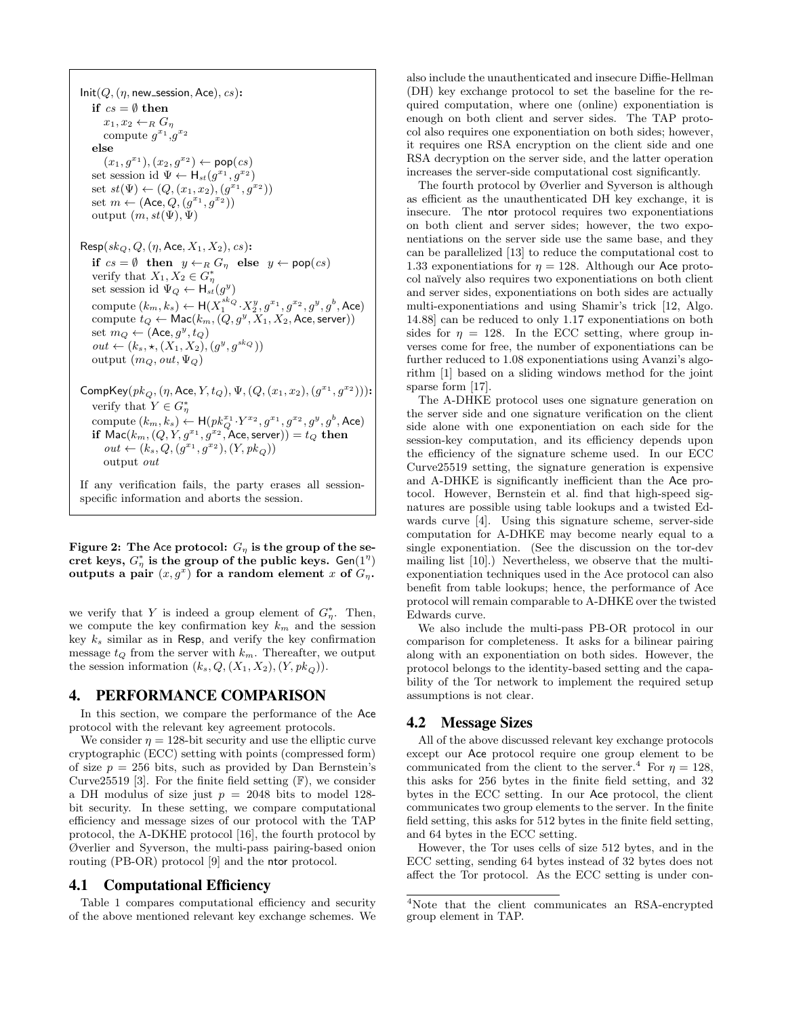$Init(Q, (\eta, new_s)$ ession, Ace), cs): if  $cs = \emptyset$  then  $x_1, x_2 \leftarrow_R G_\eta$ compute  $g^{x_1}, g^{x_2}$ else  $(x_1, g^{x_1}), (x_2, g^{x_2}) \leftarrow \text{pop}(cs)$ set session id  $\Psi \leftarrow \mathsf{H}_{st}(g^{x_1}, g^{x_2})$ set  $st(\Psi) \leftarrow (Q, (x_1, x_2), (g^{x_1}, g^{x_2}))$ set  $m \leftarrow (\text{Acc}, Q, (g^{x_1}, g^{x_2}))$ output  $(m, st(\Psi), \Psi)$  $\mathsf{Resp}(sk_Q, Q, (\eta, \mathsf{Acc}, X_1, X_2), cs)$ : if  $cs = \emptyset$  then  $y \leftarrow_R G_\eta$  else  $y \leftarrow \text{pop}(cs)$ verify that  $X_1, X_2 \in G^*_{\eta}$ set session id  $\Psi_Q \leftarrow \mathsf{H}_{st}(g^y)$ compute  $(k_m, k_s) \leftarrow \mathsf{H}(X_1^{sk_Q}\cdot X_2^y, g^{x_1}, g^{x_2}, g^y, g^b, \mathsf{Acc})$ compute  $t_Q \leftarrow \mathsf{Mac}(k_m, (Q, g^y, X_1, X_2, \mathsf{Acc}, \mathsf{server}))$ set  $m_Q \leftarrow (\textsf{Acc}, g^y, t_Q)$  $out \leftarrow (k_s, \star, (X_1, X_2), (g^y, g^{skQ}))$ output  $(m_Q, out, \Psi_Q)$  $\mathsf{CompKey}(pk_Q,(\eta, \mathsf{Acc}, Y, t_Q), \Psi, (Q, (x_1, x_2), (g^{x_1}, g^{x_2})))$ : verify that  $Y \in G^*_{\eta}$ compute  $(k_m, k_s) \leftarrow \mathsf{H}(p k_Q^{x_1} \cdot Y^{x_2}, g^{x_1}, g^{x_2}, g^{y}, g^{b}, \text{Acc})$ if  $\mathsf{Mac}(k_m, (Q, Y, g^{x_1}, g^{x_2}, \mathsf{Acc}, \mathsf{server})) = t_Q$  then  $out \leftarrow (k_s, Q, (g^{x_1}, g^{x_2}), (Y, pk_Q))$ output out

If any verification fails, the party erases all sessionspecific information and aborts the session.

Figure 2: The Ace protocol:  $G_n$  is the group of the secret keys,  $G_{\eta}^*$  is the group of the public keys. Gen(1<sup> $\eta$ </sup>) outputs a pair  $(x, g^x)$  for a random element x of  $G_\eta$ .

we verify that Y is indeed a group element of  $G_{\eta}^*$ . Then, we compute the key confirmation key  $k_m$  and the session key  $k_s$  similar as in Resp, and verify the key confirmation message  $t_Q$  from the server with  $k_m$ . Thereafter, we output the session information  $(k_s, Q, (X_1, X_2), (Y, pk<sub>O</sub>)).$ 

## 4. PERFORMANCE COMPARISON

In this section, we compare the performance of the Ace protocol with the relevant key agreement protocols.

We consider  $\eta = 128$ -bit security and use the elliptic curve cryptographic (ECC) setting with points (compressed form) of size  $p = 256$  bits, such as provided by Dan Bernstein's Curve25519 [3]. For the finite field setting  $(F)$ , we consider a DH modulus of size just  $p = 2048$  bits to model 128bit security. In these setting, we compare computational efficiency and message sizes of our protocol with the TAP protocol, the A-DKHE protocol [16], the fourth protocol by Øverlier and Syverson, the multi-pass pairing-based onion routing (PB-OR) protocol [9] and the ntor protocol.

## 4.1 Computational Efficiency

Table 1 compares computational efficiency and security of the above mentioned relevant key exchange schemes. We also include the unauthenticated and insecure Diffie-Hellman (DH) key exchange protocol to set the baseline for the required computation, where one (online) exponentiation is enough on both client and server sides. The TAP protocol also requires one exponentiation on both sides; however, it requires one RSA encryption on the client side and one RSA decryption on the server side, and the latter operation increases the server-side computational cost significantly.

The fourth protocol by Øverlier and Syverson is although as efficient as the unauthenticated DH key exchange, it is insecure. The ntor protocol requires two exponentiations on both client and server sides; however, the two exponentiations on the server side use the same base, and they can be parallelized [13] to reduce the computational cost to 1.33 exponentiations for  $\eta = 128$ . Although our Ace protocol na¨ıvely also requires two exponentiations on both client and server sides, exponentiations on both sides are actually multi-exponentiations and using Shamir's trick [12, Algo. 14.88] can be reduced to only 1.17 exponentiations on both sides for  $\eta = 128$ . In the ECC setting, where group inverses come for free, the number of exponentiations can be further reduced to 1.08 exponentiations using Avanzi's algorithm [1] based on a sliding windows method for the joint sparse form [17].

The A-DHKE protocol uses one signature generation on the server side and one signature verification on the client side alone with one exponentiation on each side for the session-key computation, and its efficiency depends upon the efficiency of the signature scheme used. In our ECC Curve25519 setting, the signature generation is expensive and A-DHKE is significantly inefficient than the Ace protocol. However, Bernstein et al. find that high-speed signatures are possible using table lookups and a twisted Edwards curve [4]. Using this signature scheme, server-side computation for A-DHKE may become nearly equal to a single exponentiation. (See the discussion on the tor-dev mailing list [10].) Nevertheless, we observe that the multiexponentiation techniques used in the Ace protocol can also benefit from table lookups; hence, the performance of Ace protocol will remain comparable to A-DHKE over the twisted Edwards curve.

We also include the multi-pass PB-OR protocol in our comparison for completeness. It asks for a bilinear pairing along with an exponentiation on both sides. However, the protocol belongs to the identity-based setting and the capability of the Tor network to implement the required setup assumptions is not clear.

## 4.2 Message Sizes

All of the above discussed relevant key exchange protocols except our Ace protocol require one group element to be communicated from the client to the server.<sup>4</sup> For  $\eta = 128$ , this asks for 256 bytes in the finite field setting, and 32 bytes in the ECC setting. In our Ace protocol, the client communicates two group elements to the server. In the finite field setting, this asks for 512 bytes in the finite field setting, and 64 bytes in the ECC setting.

However, the Tor uses cells of size 512 bytes, and in the ECC setting, sending 64 bytes instead of 32 bytes does not affect the Tor protocol. As the ECC setting is under con-

<sup>4</sup>Note that the client communicates an RSA-encrypted group element in TAP.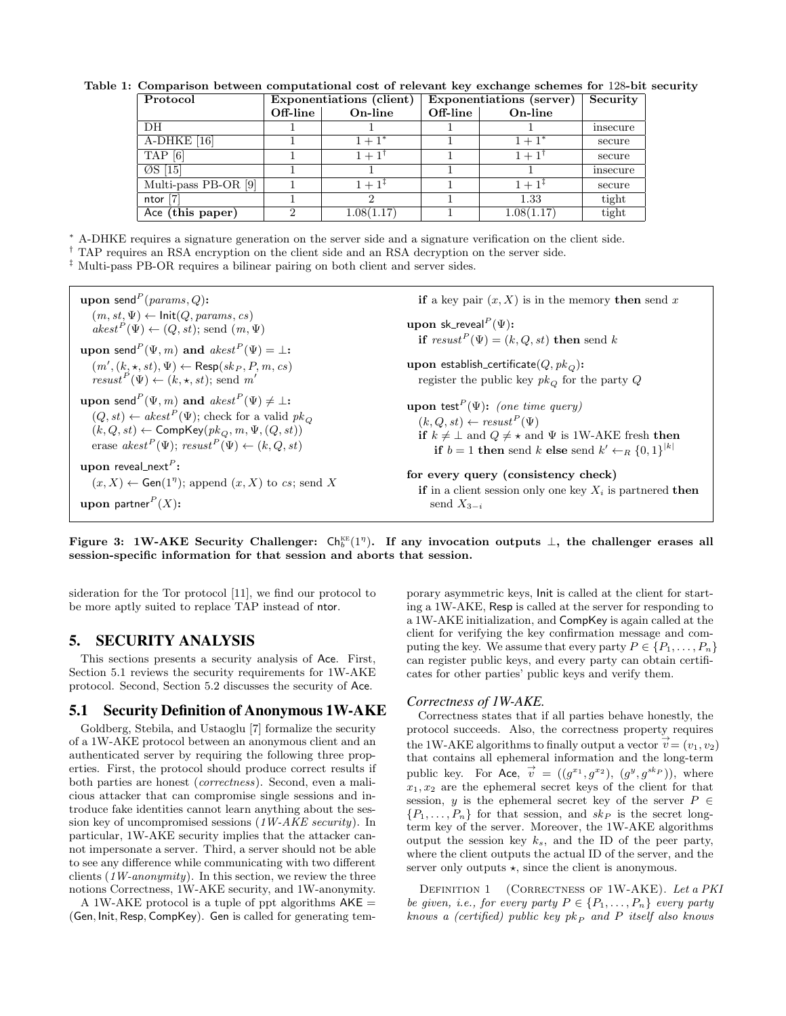| Protocol             | Exponentiations (client) |            | Exponentiations (server) |            | Security |
|----------------------|--------------------------|------------|--------------------------|------------|----------|
|                      | Off-line                 | On-line    | Off-line                 | On-line    |          |
| DH                   |                          |            |                          |            | insecure |
| $A-DHKE$ [16]        |                          | $1 + 1^*$  |                          | $1 + 1^*$  | secure   |
| $TAP$ [6]            |                          | $1 + 1$    |                          | $1 + 1'$   | secure   |
| $\oslash$ [15]       |                          |            |                          |            | insecure |
| Multi-pass PB-OR [9] |                          | $1 + 1^+$  |                          | $1 + 1^+$  | secure   |
| ntor $[7]$           |                          |            |                          | 1.33       | tight    |
| Ace (this paper)     |                          | 1.08(1.17) |                          | 1.08(1.17) | tight    |

Table 1: Comparison between computational cost of relevant key exchange schemes for 128-bit security

<sup>∗</sup> A-DHKE requires a signature generation on the server side and a signature verification on the client side.

† TAP requires an RSA encryption on the client side and an RSA decryption on the server side.

‡ Multi-pass PB-OR requires a bilinear pairing on both client and server sides.

upon send $P$  $(params, Q)$ :  $(m, st, \Psi) \leftarrow \text{Init}(Q, \text{params}, \text{cs})$  $\overline{a}kest^{P}(\Psi) \leftarrow (Q, st);$  send  $(m, \Psi)$ upon send $^P(\Psi,m)$  and  $\mathit{akest}^P(\Psi)=\bot$ :  $(m', (k, \star, st), \Psi) \leftarrow \mathsf{Resp}(sk_P, P, m, cs)$  $result^P(\Psi) \leftarrow (k, \star, st);$  send m' upon send $P(\Psi, m)$  and  $\mathit{akest}^P(\Psi) \neq \bot$ :  $(Q, st) \leftarrow akest^P(\Psi)$ ; check for a valid  $pk_Q$  $(k, Q, st) \leftarrow \mathsf{CompKey}(pk_Q, m, \Psi, (Q, st))$ erase  $akest^{P}(\Psi)$ ;  $resust^{P}(\Psi) \leftarrow (k, Q, st)$  ${\bf upon}$  reveal\_next $^P$ :  $(x, X) \leftarrow$  Gen(1<sup>7</sup>); append  $(x, X)$  to cs; send X  ${\bf u}{\bf p}$ on partner $^P(X)$ : if a key pair  $(x, X)$  is in the memory then send x upon sk\_reveal $^P(\Psi)$ : if  $result^P(\Psi) = (k, Q, st)$  then send k upon establish\_certificate $(Q, pk<sub>O</sub>)$ : register the public key  $pk_{Q}$  for the party  $Q$ upon test<sup>P</sup>( $\Psi$ ): (one time query)  $(k, Q, st) \leftarrow \text{result}^{P}(\Psi)$ if  $k \neq \perp$  and  $Q \neq \star$  and  $\Psi$  is 1W-AKE fresh then if  $b = 1$  then send  $k$  else send  $k' \leftarrow_R \{0, 1\}^{|k|}$ for every query (consistency check) if in a client session only one key  $X_i$  is partnered then send  $X_{3-i}$ 

Figure 3: 1W-AKE Security Challenger:  $\mathsf{Ch}_b^{\text{\tiny KE}}(1^\eta)$ . If any invocation outputs  $\perp$ , the challenger erases all session-specific information for that session and aborts that session.

sideration for the Tor protocol [11], we find our protocol to be more aptly suited to replace TAP instead of ntor.

## 5. SECURITY ANALYSIS

This sections presents a security analysis of Ace. First, Section 5.1 reviews the security requirements for 1W-AKE protocol. Second, Section 5.2 discusses the security of Ace.

# 5.1 Security Definition of Anonymous 1W-AKE

Goldberg, Stebila, and Ustaoglu [7] formalize the security of a 1W-AKE protocol between an anonymous client and an authenticated server by requiring the following three properties. First, the protocol should produce correct results if both parties are honest (correctness). Second, even a malicious attacker that can compromise single sessions and introduce fake identities cannot learn anything about the session key of uncompromised sessions (1W-AKE security). In particular, 1W-AKE security implies that the attacker cannot impersonate a server. Third, a server should not be able to see any difference while communicating with two different clients  $(1W\text{-}anonymity)$ . In this section, we review the three notions Correctness, 1W-AKE security, and 1W-anonymity.

A 1W-AKE protocol is a tuple of ppt algorithms  $AKE =$ (Gen, Init, Resp, CompKey). Gen is called for generating temporary asymmetric keys, Init is called at the client for starting a 1W-AKE, Resp is called at the server for responding to a 1W-AKE initialization, and CompKey is again called at the client for verifying the key confirmation message and computing the key. We assume that every party  $P \in \{P_1, \ldots, P_n\}$ can register public keys, and every party can obtain certificates for other parties' public keys and verify them.

#### *Correctness of 1W-AKE.*

Correctness states that if all parties behave honestly, the protocol succeeds. Also, the correctness property requires the 1W-AKE algorithms to finally output a vector  $\dot{\vec{v}} = (v_1, v_2)$ that contains all ephemeral information and the long-term public key. For Ace,  $\vec{v} = ((g^{x_1}, g^{x_2}), (g^y, g^{skp})),$  where  $x_1, x_2$  are the ephemeral secret keys of the client for that session, y is the ephemeral secret key of the server  $P \in$  $\{P_1, \ldots, P_n\}$  for that session, and  $sk_P$  is the secret longterm key of the server. Moreover, the 1W-AKE algorithms output the session key  $k_s$ , and the ID of the peer party, where the client outputs the actual ID of the server, and the server only outputs  $\star$ , since the client is anonymous.

DEFINITION 1 (CORRECTNESS OF 1W-AKE). Let a PKI be given, i.e., for every party  $P \in \{P_1, \ldots, P_n\}$  every party knows a (certified) public key  $pk_{P}$  and P itself also knows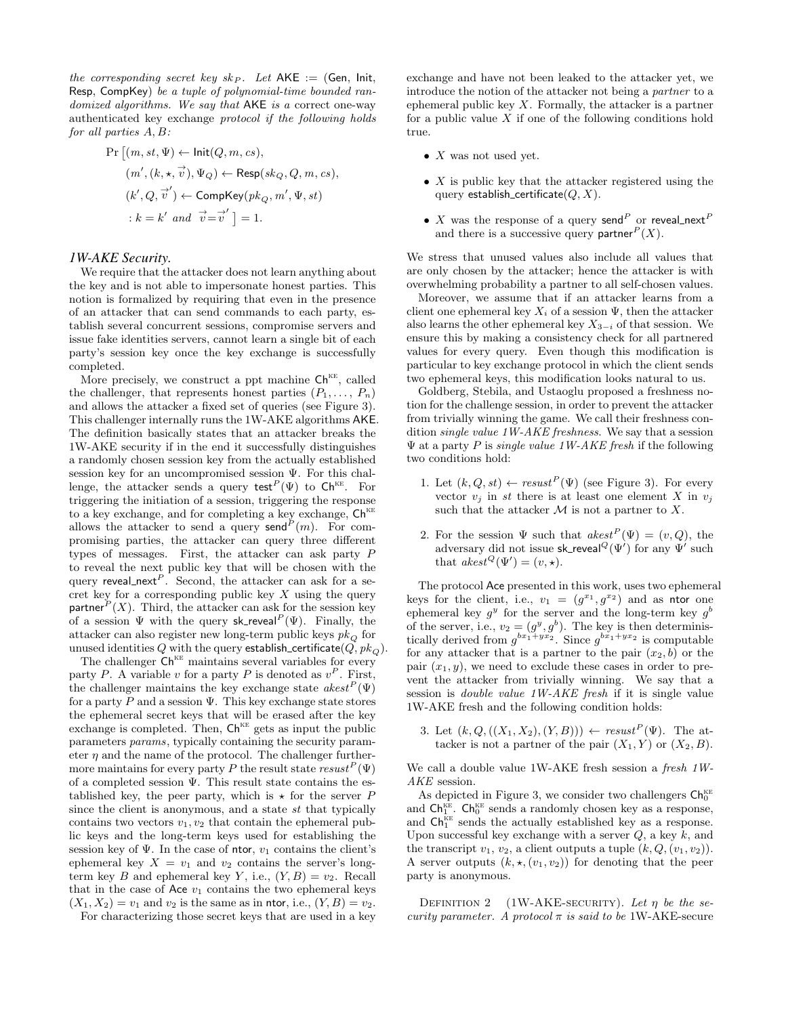the corresponding secret key  $sk_P$ . Let  $AKE := (Gen, Init,$ Resp, CompKey) be a tuple of polynomial-time bounded randomized algorithms. We say that  $AKE$  is a correct one-way authenticated key exchange protocol if the following holds for all parties A, B:

$$
\begin{aligned} \Pr\left[(m, st, \Psi) \leftarrow \mathsf{Init}(Q, m, cs), \\ (m', (k, \star, \vec{v}), \Psi_Q) \leftarrow \mathsf{Resp}(sk_Q, Q, m, cs), \\ (k', Q, \vec{v}') \leftarrow \mathsf{CompKey}(pk_Q, m', \Psi, st) \\ &\quad : k = k' \text{ and } \vec{v} = \vec{v}' \mid = 1. \end{aligned} \right.
$$

#### *1W-AKE Security.*

We require that the attacker does not learn anything about the key and is not able to impersonate honest parties. This notion is formalized by requiring that even in the presence of an attacker that can send commands to each party, establish several concurrent sessions, compromise servers and issue fake identities servers, cannot learn a single bit of each party's session key once the key exchange is successfully completed.

More precisely, we construct a ppt machine  $\mathsf{Ch}^{\mathsf{KE}},$  called the challenger, that represents honest parties  $(P_1, \ldots, P_n)$ and allows the attacker a fixed set of queries (see Figure 3). This challenger internally runs the 1W-AKE algorithms AKE. The definition basically states that an attacker breaks the 1W-AKE security if in the end it successfully distinguishes a randomly chosen session key from the actually established session key for an uncompromised session Ψ. For this challenge, the attacker sends a query test<sup>P</sup>( $\Psi$ ) to Ch<sup>KE</sup>. For triggering the initiation of a session, triggering the response to a key exchange, and for completing a key exchange,  $\mathsf{Ch}^\text{\tiny KE}$ allows the attacker to send a query send<sup>P</sup> $(m)$ . For compromising parties, the attacker can query three different types of messages. First, the attacker can ask party P to reveal the next public key that will be chosen with the query reveal next<sup>P</sup>. Second, the attacker can ask for a secret key for a corresponding public key  $X$  using the query partner  $P(X)$ . Third, the attacker can ask for the session key of a session  $\Psi$  with the query sk reveal  $P(\Psi)$ . Finally, the attacker can also register new long-term public keys  $pk<sub>O</sub>$  for unused identities Q with the query establish certificate  $(Q, pk<sub>O</sub>)$ .

The challenger  $\mathsf{Ch}^{\text{\tiny KE}}$  maintains several variables for every party P. A variable v for a party P is denoted as  $v^P$ . First, the challenger maintains the key exchange state  $\operatorname{akest}^P(\Psi)$ for a party  $\overline{P}$  and a session  $\Psi$ . This key exchange state stores the ephemeral secret keys that will be erased after the key exchange is completed. Then,  $\mathsf{Ch}^{\text{\tiny KE}}$  gets as input the public parameters params, typically containing the security parameter  $\eta$  and the name of the protocol. The challenger furthermore maintains for every party P the result state  $\mathit{resust}^P(\Psi)$ of a completed session Ψ. This result state contains the established key, the peer party, which is  $\star$  for the server P since the client is anonymous, and a state st that typically contains two vectors  $v_1, v_2$  that contain the ephemeral public keys and the long-term keys used for establishing the session key of  $\Psi$ . In the case of ntor,  $v_1$  contains the client's ephemeral key  $X = v_1$  and  $v_2$  contains the server's longterm key B and ephemeral key Y, i.e.,  $(Y, B) = v_2$ . Recall that in the case of  $Acc v_1$  contains the two ephemeral keys  $(X_1, X_2) = v_1$  and  $v_2$  is the same as in ntor, i.e.,  $(Y, B) = v_2$ .

For characterizing those secret keys that are used in a key

exchange and have not been leaked to the attacker yet, we introduce the notion of the attacker not being a partner to a ephemeral public key  $X$ . Formally, the attacker is a partner for a public value  $X$  if one of the following conditions hold true.

- $X$  was not used yet.
- $X$  is public key that the attacker registered using the query establish certificate $(Q, X)$ .
- $\bullet$  X was the response of a query send $^P$  or reveal\_next $^P$ and there is a successive query partner  $P(X)$ .

We stress that unused values also include all values that are only chosen by the attacker; hence the attacker is with overwhelming probability a partner to all self-chosen values.

Moreover, we assume that if an attacker learns from a client one ephemeral key  $X_i$  of a session  $\Psi$ , then the attacker also learns the other ephemeral key  $X_{3-i}$  of that session. We ensure this by making a consistency check for all partnered values for every query. Even though this modification is particular to key exchange protocol in which the client sends two ephemeral keys, this modification looks natural to us.

Goldberg, Stebila, and Ustaoglu proposed a freshness notion for the challenge session, in order to prevent the attacker from trivially winning the game. We call their freshness condition single value 1W-AKE freshness. We say that a session  $\Psi$  at a party P is *single value 1W-AKE fresh* if the following two conditions hold:

- 1. Let  $(k, Q, st) \leftarrow \text{result}^P(\Psi)$  (see Figure 3). For every vector  $v_i$  in st there is at least one element X in  $v_i$ such that the attacker  $M$  is not a partner to  $X$ .
- 2. For the session  $\Psi$  such that  $akest^P(\Psi) = (v, Q)$ , the adversary did not issue sk\_reveal ${}^Q(\Psi')$  for any  $\Psi'$  such that akest<sup>Q</sup>(Ψ<sup>0</sup> ) = (v, ?).

The protocol Ace presented in this work, uses two ephemeral keys for the client, i.e.,  $v_1 = (g^{x_1}, g^{x_2})$  and as ntor one ephemeral key  $g^y$  for the server and the long-term key  $g^b$ of the server, i.e.,  $v_2 = (g^y, g^b)$ . The key is then deterministically derived from  $g^{bx_1+yx_2}$ . Since  $g^{bx_1+yx_2}$  is computable for any attacker that is a partner to the pair  $(x_2, b)$  or the pair  $(x_1, y)$ , we need to exclude these cases in order to prevent the attacker from trivially winning. We say that a session is double value 1W-AKE fresh if it is single value 1W-AKE fresh and the following condition holds:

3. Let  $(k, Q, ((X_1, X_2), (Y, B))) \leftarrow \text{result}^P(\Psi)$ . The attacker is not a partner of the pair  $(X_1, Y)$  or  $(X_2, B)$ .

We call a double value 1W-AKE fresh session a fresh 1W-AKE session.

As depicted in Figure 3, we consider two challengers  $\mathsf{Ch}_0^{\text{\tiny KE}}$ and  $\mathsf{Ch}_1^{\text{kE}}$ .  $\mathsf{Ch}_0^{\text{kE}}$  sends a randomly chosen key as a response, and  $\mathsf{Ch}_1^{\text{KE}}$  sends the actually established key as a response. Upon successful key exchange with a server  $Q$ , a key  $k$ , and the transcript  $v_1, v_2$ , a client outputs a tuple  $(k, Q, (v_1, v_2))$ . A server outputs  $(k, \star, (v_1, v_2))$  for denoting that the peer party is anonymous.

DEFINITION 2 (1W-AKE-SECURITY). Let  $\eta$  be the security parameter. A protocol  $\pi$  is said to be 1W-AKE-secure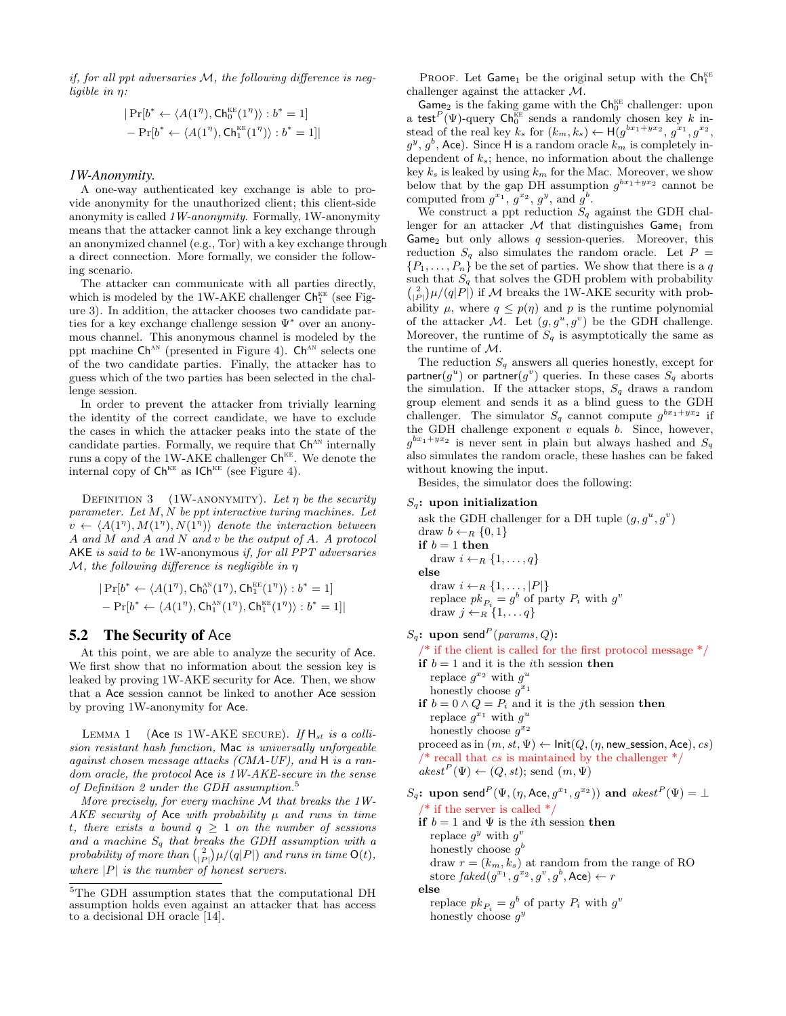if, for all ppt adversaries M, the following difference is negligible in η:

$$
\begin{aligned} |\Pr[b^* \leftarrow \langle A(1^{\eta}), \mathsf{Ch}_0^{\text{\tiny KE}}(1^{\eta}) \rangle : b^* = 1] \\ - \Pr[b^* \leftarrow \langle A(1^{\eta}), \mathsf{Ch}_1^{\text{\tiny KE}}(1^{\eta}) \rangle : b^* = 1] | \end{aligned}
$$

#### *1W-Anonymity.*

A one-way authenticated key exchange is able to provide anonymity for the unauthorized client; this client-side anonymity is called 1W-anonymity. Formally, 1W-anonymity means that the attacker cannot link a key exchange through an anonymized channel (e.g., Tor) with a key exchange through a direct connection. More formally, we consider the following scenario.

The attacker can communicate with all parties directly, which is modeled by the 1W-AKE challenger  $Ch_1^{\text{KE}}$  (see Figure 3). In addition, the attacker chooses two candidate parties for a key exchange challenge session Ψ<sup>∗</sup> over an anonymous channel. This anonymous channel is modeled by the ppt machine  $\mathsf{Ch}^{\text{AN}}$  (presented in Figure 4).  $\mathsf{Ch}^{\text{AN}}$  selects one of the two candidate parties. Finally, the attacker has to guess which of the two parties has been selected in the challenge session.

In order to prevent the attacker from trivially learning the identity of the correct candidate, we have to exclude the cases in which the attacker peaks into the state of the candidate parties. Formally, we require that  $\mathsf{Ch}^{\textup{AN}}$  internally runs a copy of the 1W-AKE challenger  $Ch<sup>KE</sup>$ . We denote the internal copy of  $Ch<sup>KE</sup>$  as  $ICH<sup>KE</sup>$  (see Figure 4).

DEFINITION 3 (1W-ANONYMITY). Let  $\eta$  be the security parameter. Let M, N be ppt interactive turing machines. Let  $v \leftarrow \langle A(1^n), M(1^n), N(1^n) \rangle$  denote the interaction between A and M and A and N and v be the output of A. A protocol AKE is said to be 1W-anonymous if, for all PPT adversaries  $M$ , the following difference is negligible in  $\eta$ 

$$
\begin{aligned} |\Pr[b^* \leftarrow \langle A(1^\eta), \mathsf{Ch}_0^{\text{\tiny AN}}(1^\eta), \mathsf{Ch}_1^{\text{\tiny KE}}(1^\eta) \rangle: b^* = 1] \\ - \Pr[b^* \leftarrow \langle A(1^\eta), \mathsf{Ch}_1^{\text{\tiny AN}}(1^\eta), \mathsf{Ch}_1^{\text{\tiny KE}}(1^\eta) \rangle: b^* = 1] | \end{aligned}
$$

## 5.2 The Security of Ace

At this point, we are able to analyze the security of Ace. We first show that no information about the session key is leaked by proving 1W-AKE security for Ace. Then, we show that a Ace session cannot be linked to another Ace session by proving 1W-anonymity for Ace.

LEMMA 1 (Ace IS 1W-AKE SECURE). If  $H_{st}$  is a collision resistant hash function, Mac is universally unforgeable against chosen message attacks (CMA-UF), and H is a random oracle, the protocol Ace is 1W-AKE-secure in the sense of Definition 2 under the GDH assumption. $5$ 

More precisely, for every machine  $M$  that breaks the 1W-AKE security of Ace with probability  $\mu$  and runs in time t, there exists a bound  $q \geq 1$  on the number of sessions and a machine  $S_q$  that breaks the GDH assumption with a probability of more than  $\binom{2}{|P|}\mu/(q|P|)$  and runs in time  $\mathsf{O}(t),$ where  $|P|$  is the number of honest servers.

PROOF. Let  $Game_1$  be the original setup with the  $Ch_1^{\text{KE}}$ challenger against the attacker M.

 $\overline{\text{Game}}_2$  is the faking game with the  $\text{Ch}_0^{\text{KE}}$  challenger: upon a test<sup>P</sup>( $\Psi$ )-query Ch<sub>0</sub><sup>KE</sup> sends a randomly chosen key k instead of the real key  $k_s$  for  $(k_m, k_s) \leftarrow \mathsf{H}(g^{bx_1+yx_2}, g^{x_1}, g^{x_2}, g^{x_3})$  $g^y, g^b$ , Ace). Since H is a random oracle  $k_m$  is completely independent of  $k_s$ ; hence, no information about the challenge key  $k_s$  is leaked by using  $k_m$  for the Mac. Moreover, we show below that by the gap DH assumption  $g^{bx_1+yx_2}$  cannot be computed from  $g^{x_1}, g^{x_2}, g^{y}, \text{ and } g^{b}$ .

We construct a ppt reduction  $S_q$  against the GDH challenger for an attacker  $M$  that distinguishes  $Game_1$  from Game<sub>2</sub> but only allows  $q$  session-queries. Moreover, this reduction  $S_q$  also simulates the random oracle. Let  $P =$  $\{P_1, \ldots, P_n\}$  be the set of parties. We show that there is a q such that  $S_q$  that solves the GDH problem with probability  $\binom{2}{|P|}\mu/(q|P|)$  if M breaks the 1W-AKE security with probability  $\mu$ , where  $q \leq p(\eta)$  and p is the runtime polynomial of the attacker M. Let  $(g, g^u, g^v)$  be the GDH challenge. Moreover, the runtime of  $S_q$  is asymptotically the same as the runtime of M.

The reduction  $S_q$  answers all queries honestly, except for partner( $g^u$ ) or partner( $g^v$ ) queries. In these cases  $S_q$  aborts the simulation. If the attacker stops,  $S_q$  draws a random group element and sends it as a blind guess to the GDH challenger. The simulator  $S_q$  cannot compute  $g^{bx_1+yx_2}$  if the GDH challenge exponent  $v$  equals  $b$ . Since, however,  $g^{bx_1+yx_2}$  is never sent in plain but always hashed and  $S_q$ also simulates the random oracle, these hashes can be faked without knowing the input.

Besides, the simulator does the following:

## $S_q$ : upon initialization

ask the GDH challenger for a DH tuple  $(g, g^u, g^v)$ draw  $b \leftarrow_R \{0, 1\}$ if  $b = 1$  then draw  $i \leftarrow_R \{1, \ldots, q\}$ else draw  $i \leftarrow_R \{1, \ldots, |P|\}$ replace  $pk_{P_i} = g^b$  of party  $P_i$  with  $g^v$ draw  $j \leftarrow_R \{1, \ldots q\}$ 

 $S_q$ : upon send<sup>P</sup> (params, Q):

 $\frac{1}{2}$  if the client is called for the first protocol message  $\frac{1}{2}$ 

if  $b = 1$  and it is the *i*th session **then** replace  $g^{x_2}$  with  $g^u$ 

honestly choose  $g^{x_1}$ 

if  $b = 0 \wedge Q = P_i$  and it is the *j*th session then replace  $g^{x_1}$  with  $g^u$ honestly choose  $g^{x_2}$ proceed as in  $(m, st, \Psi) \leftarrow \mathsf{Init}(Q, (\eta, \mathsf{new} \_ \mathsf{session}, \mathsf{Acc}), cs)$ \* recall that cs is maintained by the challenger  $\frac{*}{ }$  $\mathit{akest}^P(\Psi) \leftarrow (Q, st);$  send  $(m, \Psi)$ 

 $S_q$ : upon send $P(\Psi, (\eta, \text{Acc}, g^{x_1}, g^{x_2}))$  and  $akest^P(\Psi) = \bot$ /\* if the server is called  $*/$ 

if  $b = 1$  and  $\Psi$  is the *i*th session then replace  $g^y$  with  $g^v$ honestly choose  $g^b$ draw  $r = (k_m, k_s)$  at random from the range of RO store  $\mathit{faked}(g^{x_1}, g^{x_2}, g^v, g^b, \mathsf{Acc}) \leftarrow r$ else

replace  $pk_{P_i} = g^b$  of party  $P_i$  with  $g^v$ honestly choose  $g^y$ 

 ${\rm ^5The}$  GDH assumption states that the computational DH assumption holds even against an attacker that has access to a decisional DH oracle [14].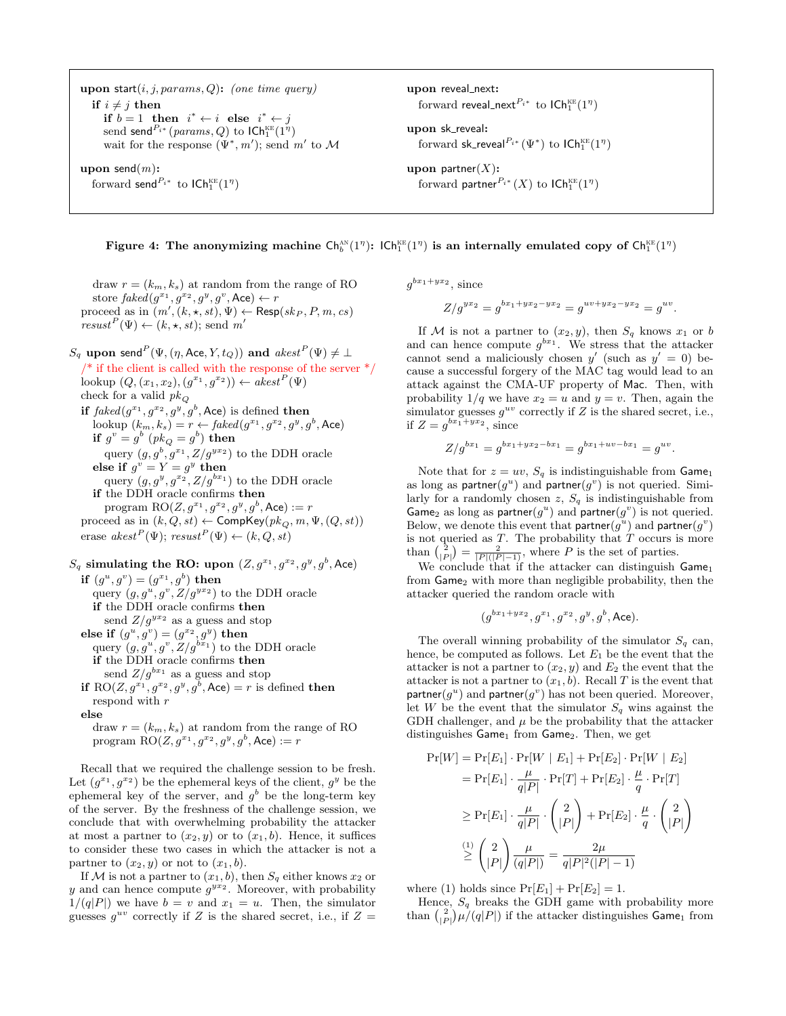upon start $(i, j, params, Q)$ : (one time query) if  $i \neq j$  then if  $b = 1$  then  $i^* \leftarrow i$  else  $i^* \leftarrow j$  $\mathrm{send}^\mathit{P_{i^*}}(\mathit{params},Q)$  to  $\mathsf{ICh}^{\scriptscriptstyle\mathrm{KE}}_1(1^{\eta})$ wait for the response  $(\Psi^*, m')$ ; send m' to M upon send $(m)$ : forward send $P_{i^*}$  to  $\mathsf{ICh}_1^{\text{\tiny KE}}(1^\eta)$ upon reveal\_next: forward reveal\_next $^{P_{i^*}}$  to  $\mathsf{ICh}_1^{\scriptscriptstyle\mathrm{KE}}(1^\eta)$ upon sk\_reveal: forward sk\_reveal ${}^{P_{i^*}}(\Psi^*)$  to  $\mathsf{ICh}^{\scriptscriptstyle\mathrm{KE}}_1(1^\eta)$ upon partner $(X)$ : forward partner $^{P_{i^*}}(X)$  to  $\mathsf{ICh}_1^\text{\tiny KE}(1^\eta)$ 

Figure 4: The anonymizing machine  $\mathsf{Ch}_b^{\scriptscriptstyle\mathrm{AN}}(1^{\eta})$ :  $\mathsf{ICh}_1^{\scriptscriptstyle\mathrm{KE}}(1^{\eta})$  is an internally emulated copy of  $\mathsf{Ch}_1^{\scriptscriptstyle\mathrm{KE}}(1^{\eta})$ 

draw  $r = (k_m, k_s)$  at random from the range of RO store  $\mathit{faked}(g^{x_1}, g^{x_2}, g^{y}, g^{v}, \mathsf{Acc}) \leftarrow r$ proceed as in  $(m', (k, \star, st), \Psi) \leftarrow \text{Resp}(sk_P, P, m, cs)$  $result^P(\Psi) \leftarrow (k, \star, st);$  send m'

 $S_q$  upon send $P(\Psi,(\eta,\mathsf{Acc},Y,t_Q))$  and  $\mathit{akest}^P(\Psi)\neq\bot$  $\frac{1}{2}$  if the client is called with the response of the server  $\frac{1}{2}$ lookup  $(Q, (x_1, x_2), (g^{x_1}, g^{x_2})) \leftarrow a \overline{k} e s t^P(\Psi)$ check for a valid  $\mathit{pk}_Q$ if  $faked(g^{x_1}, g^{x_2}, g^y, g^b,$  Ace) is defined then lookup  $(k_m, k_s) = r \leftarrow \text{faked}(g^{x_1}, g^{x_2}, g^y, g^b, \text{Acc})$ if  $g^v = g^b \; (p k_Q = g^b)$  then query  $(g, g^b, g^{x_1}, Z/g^{y_1})$  to the DDH oracle else if  $g^v = Y = g^y$  then query  $(g, g^y, g^{x_2}, Z/g^{bx_1})$  to the DDH oracle if the DDH oracle confirms then program  $RO(Z, g^{x_1}, g^{x_2}, g^y, g^b, \text{Acc}) := r$ proceed as in  $(k, Q, st) \leftarrow \textsf{CompKey}(pk_Q, m, \Psi, (Q, st))$ erase  $akest^{P}(\Psi)$ ;  $resust^{P}(\Psi) \leftarrow (k, Q, st)$ 

 $S_q$  simulating the RO: upon  $(Z, g^{x_1}, g^{x_2}, g^y, g^b,$  Ace) if  $(g^u, g^v) = (g^{x_1}, g^b)$  then query  $(g, g^u, g^v, Z/g^{yx_2})$  to the DDH oracle if the DDH oracle confirms then send  $Z/g^{yx_2}$  as a guess and stop else if  $(g^u, g^v) = (g^{x_2}, g^y)$  then query  $(g, g^u, g^v, Z/g^{bx_1})$  to the DDH oracle if the DDH oracle confirms then send  $Z/g^{bx_1}$  as a guess and stop if RO $(Z, g^{x_1}, g^{x_2}, g^y, g^b, \text{Acc}) = r$  is defined then respond with r else

draw  $r = (k_m, k_s)$  at random from the range of RO program  $RO(Z, g^{x_1}, g^{x_2}, g^y, g^b, \text{Acc}) := r$ 

Recall that we required the challenge session to be fresh. Let  $(g^{x_1}, g^{x_2})$  be the ephemeral keys of the client,  $g^y$  be the ephemeral key of the server, and  $g^b$  be the long-term key of the server. By the freshness of the challenge session, we conclude that with overwhelming probability the attacker at most a partner to  $(x_2, y)$  or to  $(x_1, b)$ . Hence, it suffices to consider these two cases in which the attacker is not a partner to  $(x_2, y)$  or not to  $(x_1, b)$ .

If M is not a partner to  $(x_1, b)$ , then  $S_q$  either knows  $x_2$  or y and can hence compute  $g^{yx_2}$ . Moreover, with probability  $1/(q|P|)$  we have  $b = v$  and  $x_1 = u$ . Then, the simulator guesses  $g^{uv}$  correctly if Z is the shared secret, i.e., if  $Z =$ 

 $g^{bx_1+yx_2}$ , since

$$
Z/g^{yx_2} = g^{bx_1 + yx_2 - yx_2} = g^{uv + yx_2 - yx_2} = g^{uv}.
$$

If M is not a partner to  $(x_2, y)$ , then  $S_q$  knows  $x_1$  or b and can hence compute  $g^{bx_1}$ . We stress that the attacker cannot send a maliciously chosen  $y'$  (such as  $y' = 0$ ) because a successful forgery of the MAC tag would lead to an attack against the CMA-UF property of Mac. Then, with probability  $1/q$  we have  $x_2 = u$  and  $y = v$ . Then, again the simulator guesses  $g^{uv}$  correctly if Z is the shared secret, i.e., if  $Z = g^{bx_1 + yx_2}$ , since

$$
Z/g^{bx_1} = g^{bx_1 + yx_2 - bx_1} = g^{bx_1 + uv - bx_1} = g^{uv}.
$$

Note that for  $z = uv$ ,  $S_q$  is indistinguishable from Game<sub>1</sub> as long as partner $(g^u)$  and partner $(g^v)$  is not queried. Similarly for a randomly chosen z,  $S_q$  is indistinguishable from Game<sub>2</sub> as long as partner( $g^u$ ) and partner( $g^v$ ) is not queried. Below, we denote this event that partner $(g^u)$  and partner $(g^v)$ is not queried as  $T$ . The probability that  $T$  occurs is more than  $\binom{2}{|P|} = \frac{2}{|P|(|P|-1)}$ , where P is the set of parties.

We conclude that if the attacker can distinguish Game<sub>1</sub> from Game<sup>2</sup> with more than negligible probability, then the attacker queried the random oracle with

$$
(g^{bx_1+yx_2}, g^{x_1}, g^{x_2}, g^y, g^b, \text{Acc}).
$$

The overall winning probability of the simulator  $S_q$  can, hence, be computed as follows. Let  $E_1$  be the event that the attacker is not a partner to  $(x_2, y)$  and  $E_2$  the event that the attacker is not a partner to  $(x_1, b)$ . Recall T is the event that partner( $g^u$ ) and partner( $g^v$ ) has not been queried. Moreover, let W be the event that the simulator  $S_q$  wins against the GDH challenger, and  $\mu$  be the probability that the attacker distinguishes Game<sub>1</sub> from Game<sub>2</sub>. Then, we get

$$
\Pr[W] = \Pr[E_1] \cdot \Pr[W \mid E_1] + \Pr[E_2] \cdot \Pr[W \mid E_2]
$$
\n
$$
= \Pr[E_1] \cdot \frac{\mu}{q|P|} \cdot \Pr[T] + \Pr[E_2] \cdot \frac{\mu}{q} \cdot \Pr[T]
$$
\n
$$
\geq \Pr[E_1] \cdot \frac{\mu}{q|P|} \cdot \binom{2}{|P|} + \Pr[E_2] \cdot \frac{\mu}{q} \cdot \binom{2}{|P|}
$$
\n
$$
\stackrel{(1)}{\geq} \binom{2}{|P|} \frac{\mu}{(q|P|)} = \frac{2\mu}{q|P|^2(|P|-1)}
$$

where (1) holds since  $Pr[E_1] + Pr[E_2] = 1$ .

Hence,  $S_q$  breaks the GDH game with probability more than  $\binom{2}{|P|}\mu/(q|P|)$  if the attacker distinguishes  $\mathsf{Game}_1$  from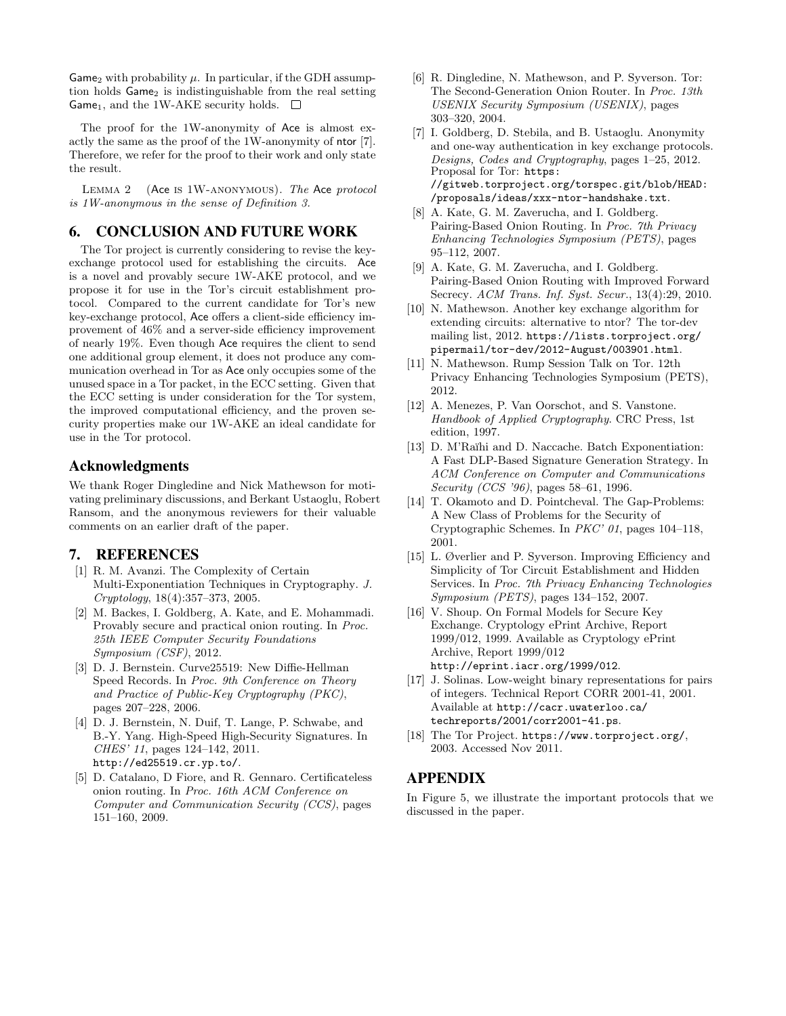Game<sub>2</sub> with probability  $\mu$ . In particular, if the GDH assumption holds  $Game<sub>2</sub>$  is indistinguishable from the real setting Game<sub>1</sub>, and the 1W-AKE security holds.  $\square$ 

The proof for the 1W-anonymity of Ace is almost exactly the same as the proof of the 1W-anonymity of ntor [7]. Therefore, we refer for the proof to their work and only state the result.

Lemma 2 (Ace is 1W-anonymous). The Ace protocol is 1W-anonymous in the sense of Definition 3.

# 6. CONCLUSION AND FUTURE WORK

The Tor project is currently considering to revise the keyexchange protocol used for establishing the circuits. Ace is a novel and provably secure 1W-AKE protocol, and we propose it for use in the Tor's circuit establishment protocol. Compared to the current candidate for Tor's new key-exchange protocol, Ace offers a client-side efficiency improvement of 46% and a server-side efficiency improvement of nearly 19%. Even though Ace requires the client to send one additional group element, it does not produce any communication overhead in Tor as Ace only occupies some of the unused space in a Tor packet, in the ECC setting. Given that the ECC setting is under consideration for the Tor system, the improved computational efficiency, and the proven security properties make our 1W-AKE an ideal candidate for use in the Tor protocol.

## Acknowledgments

We thank Roger Dingledine and Nick Mathewson for motivating preliminary discussions, and Berkant Ustaoglu, Robert Ransom, and the anonymous reviewers for their valuable comments on an earlier draft of the paper.

## 7. REFERENCES

- [1] R. M. Avanzi. The Complexity of Certain Multi-Exponentiation Techniques in Cryptography. J. Cryptology, 18(4):357–373, 2005.
- [2] M. Backes, I. Goldberg, A. Kate, and E. Mohammadi. Provably secure and practical onion routing. In Proc. 25th IEEE Computer Security Foundations Symposium (CSF), 2012.
- [3] D. J. Bernstein. Curve25519: New Diffie-Hellman Speed Records. In Proc. 9th Conference on Theory and Practice of Public-Key Cryptography (PKC), pages 207–228, 2006.
- [4] D. J. Bernstein, N. Duif, T. Lange, P. Schwabe, and B.-Y. Yang. High-Speed High-Security Signatures. In CHES' 11, pages 124–142, 2011. http://ed25519.cr.yp.to/.
- [5] D. Catalano, D Fiore, and R. Gennaro. Certificateless onion routing. In Proc. 16th ACM Conference on Computer and Communication Security (CCS), pages 151–160, 2009.
- [6] R. Dingledine, N. Mathewson, and P. Syverson. Tor: The Second-Generation Onion Router. In Proc. 13th USENIX Security Symposium (USENIX), pages 303–320, 2004.
- [7] I. Goldberg, D. Stebila, and B. Ustaoglu. Anonymity and one-way authentication in key exchange protocols. Designs, Codes and Cryptography, pages 1–25, 2012. Proposal for Tor: https: //gitweb.torproject.org/torspec.git/blob/HEAD: /proposals/ideas/xxx-ntor-handshake.txt.
- [8] A. Kate, G. M. Zaverucha, and I. Goldberg. Pairing-Based Onion Routing. In Proc. 7th Privacy Enhancing Technologies Symposium (PETS), pages 95–112, 2007.
- [9] A. Kate, G. M. Zaverucha, and I. Goldberg. Pairing-Based Onion Routing with Improved Forward Secrecy. ACM Trans. Inf. Syst. Secur., 13(4):29, 2010.
- [10] N. Mathewson. Another key exchange algorithm for extending circuits: alternative to ntor? The tor-dev mailing list, 2012. https://lists.torproject.org/ pipermail/tor-dev/2012-August/003901.html.
- [11] N. Mathewson. Rump Session Talk on Tor. 12th Privacy Enhancing Technologies Symposium (PETS), 2012.
- [12] A. Menezes, P. Van Oorschot, and S. Vanstone. Handbook of Applied Cryptography. CRC Press, 1st edition, 1997.
- [13] D. M'Raïhi and D. Naccache. Batch Exponentiation: A Fast DLP-Based Signature Generation Strategy. In ACM Conference on Computer and Communications Security (CCS '96), pages 58–61, 1996.
- [14] T. Okamoto and D. Pointcheval. The Gap-Problems: A New Class of Problems for the Security of Cryptographic Schemes. In PKC' 01, pages 104–118, 2001.
- [15] L. Øverlier and P. Syverson. Improving Efficiency and Simplicity of Tor Circuit Establishment and Hidden Services. In Proc. 7th Privacy Enhancing Technologies Symposium (PETS), pages 134–152, 2007.
- [16] V. Shoup. On Formal Models for Secure Key Exchange. Cryptology ePrint Archive, Report 1999/012, 1999. Available as Cryptology ePrint Archive, Report 1999/012 http://eprint.iacr.org/1999/012.
- [17] J. Solinas. Low-weight binary representations for pairs of integers. Technical Report CORR 2001-41, 2001. Available at http://cacr.uwaterloo.ca/ techreports/2001/corr2001-41.ps.
- [18] The Tor Project. https://www.torproject.org/, 2003. Accessed Nov 2011.

# APPENDIX

In Figure 5, we illustrate the important protocols that we discussed in the paper.